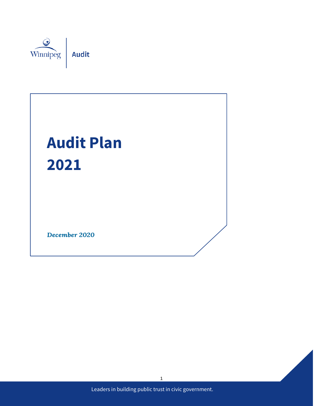

# **Audit Plan 2021**

December 2020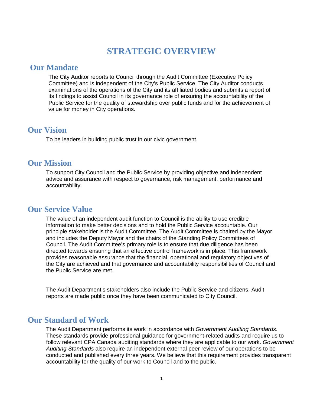# **STRATEGIC OVERVIEW**

#### **Our Mandate**

The City Auditor reports to Council through the Audit Committee (Executive Policy Committee) and is independent of the City's Public Service. The City Auditor conducts examinations of the operations of the City and its affiliated bodies and submits a report of its findings to assist Council in its governance role of ensuring the accountability of the Public Service for the quality of stewardship over public funds and for the achievement of value for money in City operations.

#### **Our Vision**

To be leaders in building public trust in our civic government.

#### **Our Mission**

To support City Council and the Public Service by providing objective and independent advice and assurance with respect to governance, risk management, performance and accountability.

## **Our Service Value**

The value of an independent audit function to Council is the ability to use credible information to make better decisions and to hold the Public Service accountable. Our principle stakeholder is the Audit Committee. The Audit Committee is chaired by the Mayor and includes the Deputy Mayor and the chairs of the Standing Policy Committees of Council. The Audit Committee's primary role is to ensure that due diligence has been directed towards ensuring that an effective control framework is in place. This framework provides reasonable assurance that the financial, operational and regulatory objectives of the City are achieved and that governance and accountability responsibilities of Council and the Public Service are met.

The Audit Department's stakeholders also include the Public Service and citizens. Audit reports are made public once they have been communicated to City Council.

#### **Our Standard of Work**

The Audit Department performs its work in accordance with *Government Auditing Standards*. These standards provide professional guidance for government-related audits and require us to follow relevant CPA Canada auditing standards where they are applicable to our work. *Government Auditing Standards* also require an independent external peer review of our operations to be conducted and published every three years. We believe that this requirement provides transparent accountability for the quality of our work to Council and to the public.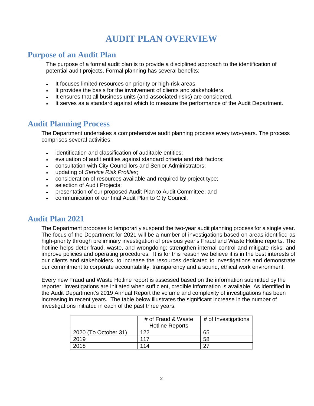# **AUDIT PLAN OVERVIEW**

## **Purpose of an Audit Plan**

The purpose of a formal audit plan is to provide a disciplined approach to the identification of potential audit projects. Formal planning has several benefits:

- It focuses limited resources on priority or high-risk areas.
- It provides the basis for the involvement of clients and stakeholders.
- It ensures that all business units (and associated risks) are considered.
- It serves as a standard against which to measure the performance of the Audit Department.

## **Audit Planning Process**

The Department undertakes a comprehensive audit planning process every two-years. The process comprises several activities:

- identification and classification of auditable entities;
- evaluation of audit entities against standard criteria and risk factors;
- consultation with City Councillors and Senior Administrators;
- updating of *Service Risk Profiles*;
- consideration of resources available and required by project type;
- selection of Audit Projects;
- presentation of our proposed Audit Plan to Audit Committee; and
- communication of our final Audit Plan to City Council.

## **Audit Plan 2021**

The Department proposes to temporarily suspend the two-year audit planning process for a single year. The focus of the Department for 2021 will be a number of investigations based on areas identified as high-priority through preliminary investigation of previous year's Fraud and Waste Hotline reports. The hotline helps deter fraud, waste, and wrongdoing; strengthen internal control and mitigate risks; and improve policies and operating procedures. It is for this reason we believe it is in the best interests of our clients and stakeholders, to increase the resources dedicated to investigations and demonstrate our commitment to corporate accountability, transparency and a sound, ethical work environment.

Every new Fraud and Waste Hotline report is assessed based on the information submitted by the reporter. Investigations are initiated when sufficient, credible information is available. As identified in the Audit Department's 2019 Annual Report the volume and complexity of investigations has been increasing in recent years. The table below illustrates the significant increase in the number of investigations initiated in each of the past three years.

|                      | # of Fraud & Waste     | # of Investigations |
|----------------------|------------------------|---------------------|
|                      | <b>Hotline Reports</b> |                     |
| 2020 (To October 31) | 122                    | 65                  |
| 2019                 | 117                    | 58                  |
| 2018                 | 11 $\Delta$            |                     |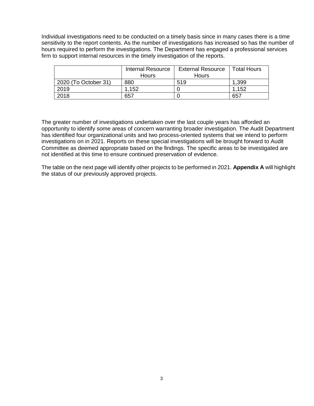Individual investigations need to be conducted on a timely basis since in many cases there is a time sensitivity to the report contents. As the number of investigations has increased so has the number of hours required to perform the investigations. The Department has engaged a professional services firm to support internal resources in the timely investigation of the reports.

|                      | Internal Resource | <b>External Resource</b> | <b>Total Hours</b> |
|----------------------|-------------------|--------------------------|--------------------|
|                      | <b>Hours</b>      | <b>Hours</b>             |                    |
| 2020 (To October 31) | 880               | 519                      | 1,399              |
| 2019                 | 1.152             |                          | 1.152              |
| 2018                 | 657               |                          | 657                |

The greater number of investigations undertaken over the last couple years has afforded an opportunity to identify some areas of concern warranting broader investigation. The Audit Department has identified four organizational units and two process-oriented systems that we intend to perform investigations on in 2021. Reports on these special investigations will be brought forward to Audit Committee as deemed appropriate based on the findings. The specific areas to be investigated are not identified at this time to ensure continued preservation of evidence.

The table on the next page will identify other projects to be performed in 2021. **Appendix A** will highlight the status of our previously approved projects.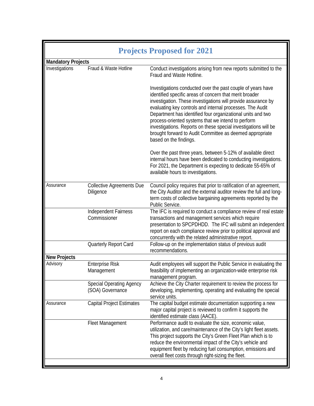| <b>Projects Proposed for 2021</b> |                                                     |                                                                                                                                                                                                                                                                                                                                                                                                                                                                                                                                    |  |  |
|-----------------------------------|-----------------------------------------------------|------------------------------------------------------------------------------------------------------------------------------------------------------------------------------------------------------------------------------------------------------------------------------------------------------------------------------------------------------------------------------------------------------------------------------------------------------------------------------------------------------------------------------------|--|--|
| <b>Mandatory Projects</b>         |                                                     |                                                                                                                                                                                                                                                                                                                                                                                                                                                                                                                                    |  |  |
| Investigations                    | Fraud & Waste Hotline                               | Conduct investigations arising from new reports submitted to the<br>Fraud and Waste Hotline.                                                                                                                                                                                                                                                                                                                                                                                                                                       |  |  |
|                                   |                                                     | Investigations conducted over the past couple of years have<br>identified specific areas of concern that merit broader<br>investigation. These investigations will provide assurance by<br>evaluating key controls and internal processes. The Audit<br>Department has identified four organizational units and two<br>process-oriented systems that we intend to perform<br>investigations. Reports on these special investigations will be<br>brought forward to Audit Committee as deemed appropriate<br>based on the findings. |  |  |
|                                   |                                                     | Over the past three years, between 5-12% of available direct<br>internal hours have been dedicated to conducting investigations.<br>For 2021, the Department is expecting to dedicate 55-65% of<br>available hours to investigations.                                                                                                                                                                                                                                                                                              |  |  |
| Assurance                         | <b>Collective Agreements Due</b><br>Diligence       | Council policy requires that prior to ratification of an agreement,<br>the City Auditor and the external auditor review the full and long-<br>term costs of collective bargaining agreements reported by the<br>Public Service.                                                                                                                                                                                                                                                                                                    |  |  |
|                                   | Independent Fairness<br>Commissioner                | The IFC is required to conduct a compliance review of real estate<br>transactions and management services which require<br>presentation to SPCPDHDD. The IFC will submit an independent<br>report on each compliance review prior to political approval and<br>concurrently with the related administrative report.                                                                                                                                                                                                                |  |  |
|                                   | Quarterly Report Card                               | Follow-up on the implementation status of previous audit<br>recommendations.                                                                                                                                                                                                                                                                                                                                                                                                                                                       |  |  |
| <b>New Projects</b>               |                                                     |                                                                                                                                                                                                                                                                                                                                                                                                                                                                                                                                    |  |  |
| Advisory                          | <b>Enterprise Risk</b><br>Management                | Audit employees will support the Public Service in evaluating the<br>feasibility of implementing an organization-wide enterprise risk<br>management program.                                                                                                                                                                                                                                                                                                                                                                       |  |  |
|                                   | <b>Special Operating Agency</b><br>(SOA) Governance | Achieve the City Charter requirement to review the process for<br>developing, implementing, operating and evaluating the special<br>service units.                                                                                                                                                                                                                                                                                                                                                                                 |  |  |
| Assurance                         | <b>Capital Project Estimates</b>                    | The capital budget estimate documentation supporting a new<br>major capital project is reviewed to confirm it supports the<br>identified estimate class (AACE).                                                                                                                                                                                                                                                                                                                                                                    |  |  |
|                                   | <b>Fleet Management</b>                             | Performance audit to evaluate the size, economic value,<br>utilization, and care/maintenance of the City's light fleet assets.<br>This project supports the City's Green Fleet Plan which is to<br>reduce the environmental impact of the City's vehicle and<br>equipment fleet by reducing fuel consumption, emissions and<br>overall fleet costs through right-sizing the fleet.                                                                                                                                                 |  |  |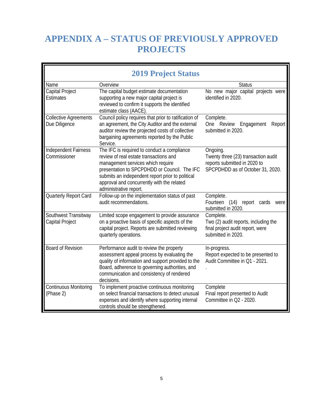# **APPENDIX A – STATUS OF PREVIOUSLY APPROVED PROJECTS**

| <b>2019 Project Status</b>                    |                                                                                                                                                                                                                                                                                                        |                                                                                                                     |  |
|-----------------------------------------------|--------------------------------------------------------------------------------------------------------------------------------------------------------------------------------------------------------------------------------------------------------------------------------------------------------|---------------------------------------------------------------------------------------------------------------------|--|
| Name                                          | Overview                                                                                                                                                                                                                                                                                               | <b>Status</b>                                                                                                       |  |
| Capital Project<br><b>Estimates</b>           | The capital budget estimate documentation<br>supporting a new major capital project is<br>reviewed to confirm it supports the identified<br>estimate class (AACE).                                                                                                                                     | No new major capital projects were<br>identified in 2020.                                                           |  |
| <b>Collective Agreements</b><br>Due Diligence | Council policy requires that prior to ratification of<br>an agreement, the City Auditor and the external<br>auditor review the projected costs of collective<br>bargaining agreements reported by the Public<br>Service.                                                                               | Complete.<br>One Review<br>Engagement<br>Report<br>submitted in 2020.                                               |  |
| <b>Independent Fairness</b><br>Commissioner   | The IFC is required to conduct a compliance<br>review of real estate transactions and<br>management services which require<br>presentation to SPCPDHDD or Council. The IFC<br>submits an independent report prior to political<br>approval and concurrently with the related<br>administrative report. | Ongoing.<br>Twenty three (23) transaction audit<br>reports submitted in 2020 to<br>SPCPDHDD as of October 31, 2020. |  |
| Quarterly Report Card                         | Follow-up on the implementation status of past<br>audit recommendations.                                                                                                                                                                                                                               | Complete.<br>$(14)$ report<br>Fourteen<br>cards<br>were<br>submitted in 2020.                                       |  |
| Southwest Transitway<br>Capital Project       | Limited scope engagement to provide assurance<br>on a proactive basis of specific aspects of the<br>capital project. Reports are submitted reviewing<br>quarterly operations.                                                                                                                          | Complete.<br>Two (2) audit reports, including the<br>final project audit report, were<br>submitted in 2020.         |  |
| <b>Board of Revision</b>                      | Performance audit to review the property<br>assessment appeal process by evaluating the<br>quality of information and support provided to the<br>Board, adherence to governing authorities, and<br>communication and consistency of rendered<br>decisions.                                             | In-progress.<br>Report expected to be presented to<br>Audit Committee in Q1 - 2021.                                 |  |
| <b>Continuous Monitoring</b><br>(Phase 2)     | To implement proactive continuous monitoring<br>on select financial transactions to detect unusual<br>expenses and identify where supporting internal<br>controls should be strengthened.                                                                                                              | Complete<br>Final report presented to Audit<br>Committee in Q2 - 2020.                                              |  |